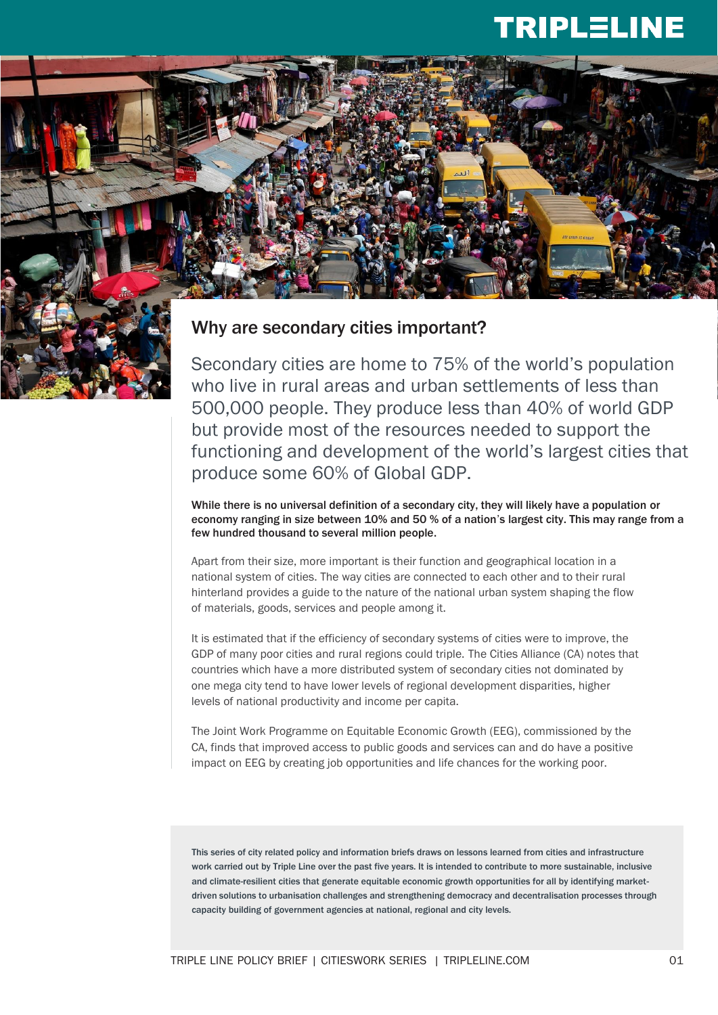## **TRIPLELINE**



#### Why are secondary cities important?

Secondary cities are home to 75% of the world's population who live in rural areas and urban settlements of less than 500,000 people. They produce less than 40% of world GDP but provide most of the resources needed to support the functioning and development of the world's largest cities that produce some 60% of Global GDP.

While there is no universal definition of a secondary city, they will likely have a population or economy ranging in size between 10% and 50 % of a nation's largest city. This may range from a few hundred thousand to several million people.

Apart from their size, more important is their function and geographical location in a national system of cities. The way cities are connected to each other and to their rural hinterland provides a guide to the nature of the national urban system shaping the flow of materials, goods, services and people among it.

It is estimated that if the efficiency of secondary systems of cities were to improve, the GDP of many poor cities and rural regions could triple. The Cities Alliance (CA) notes that countries which have a more distributed system of secondary cities not dominated by one mega city tend to have lower levels of regional development disparities, higher levels of national productivity and income per capita.

The Joint Work Programme on Equitable Economic Growth (EEG), commissioned by the CA, finds that improved access to public goods and services can and do have a positive impact on EEG by creating job opportunities and life chances for the working poor.

This series of city related policy and information briefs draws on lessons learned from cities and infrastructure work carried out by Triple Line over the past five years. It is intended to contribute to more sustainable, inclusive and climate-resilient cities that generate equitable economic growth opportunities for all by identifying marketdriven solutions to urbanisation challenges and strengthening democracy and decentralisation processes through capacity building of government agencies at national, regional and city levels.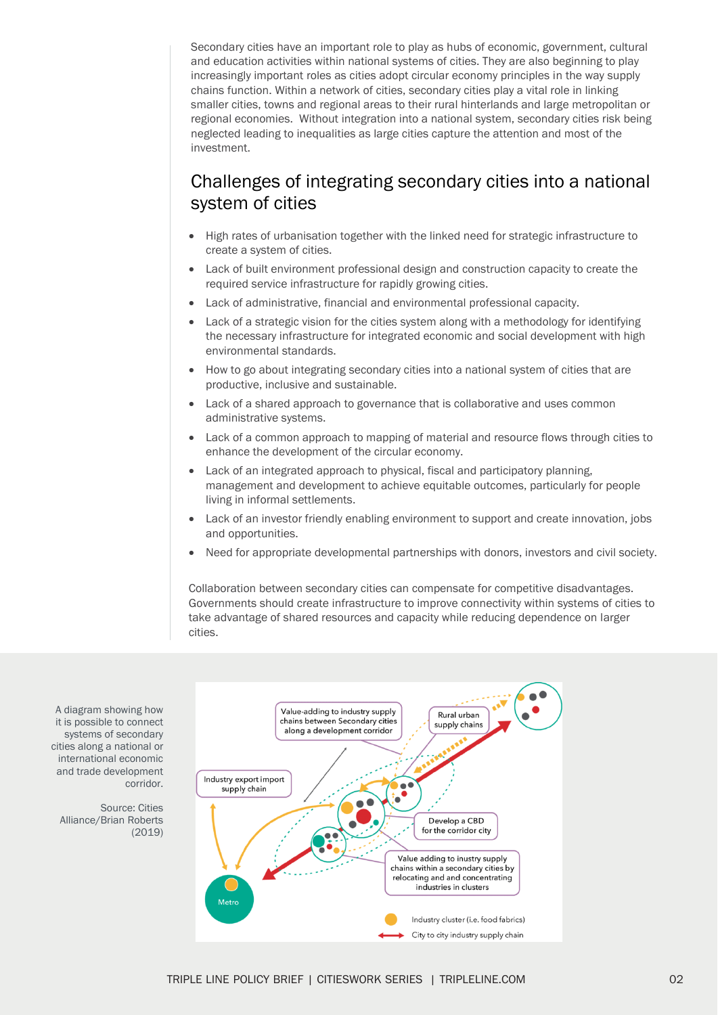Secondary cities have an important role to play as hubs of economic, government, cultural and education activities within national systems of cities. They are also beginning to play increasingly important roles as cities adopt circular economy principles in the way supply chains function. Within a network of cities, secondary cities play a vital role in linking smaller cities, towns and regional areas to their rural hinterlands and large metropolitan or regional economies. Without integration into a national system, secondary cities risk being neglected leading to inequalities as large cities capture the attention and most of the investment.

### Challenges of integrating secondary cities into a national system of cities

- High rates of urbanisation together with the linked need for strategic infrastructure to create a system of cities.
- Lack of built environment professional design and construction capacity to create the required service infrastructure for rapidly growing cities.
- Lack of administrative, financial and environmental professional capacity.
- Lack of a strategic vision for the cities system along with a methodology for identifying the necessary infrastructure for integrated economic and social development with high environmental standards.
- How to go about integrating secondary cities into a national system of cities that are productive, inclusive and sustainable.
- Lack of a shared approach to governance that is collaborative and uses common administrative systems.
- Lack of a common approach to mapping of material and resource flows through cities to enhance the development of the circular economy.
- Lack of an integrated approach to physical, fiscal and participatory planning. management and development to achieve equitable outcomes, particularly for people living in informal settlements.
- Lack of an investor friendly enabling environment to support and create innovation, jobs and opportunities.
- Need for appropriate developmental partnerships with donors, investors and civil society.

Collaboration between secondary cities can compensate for competitive disadvantages. Governments should create infrastructure to improve connectivity within systems of cities to take advantage of shared resources and capacity while reducing dependence on larger cities.



A diagram showing how it is possible to connect systems of secondary cities along a national or international economic and trade development corridor.

Source: Cities Alliance/Brian Roberts (2019)